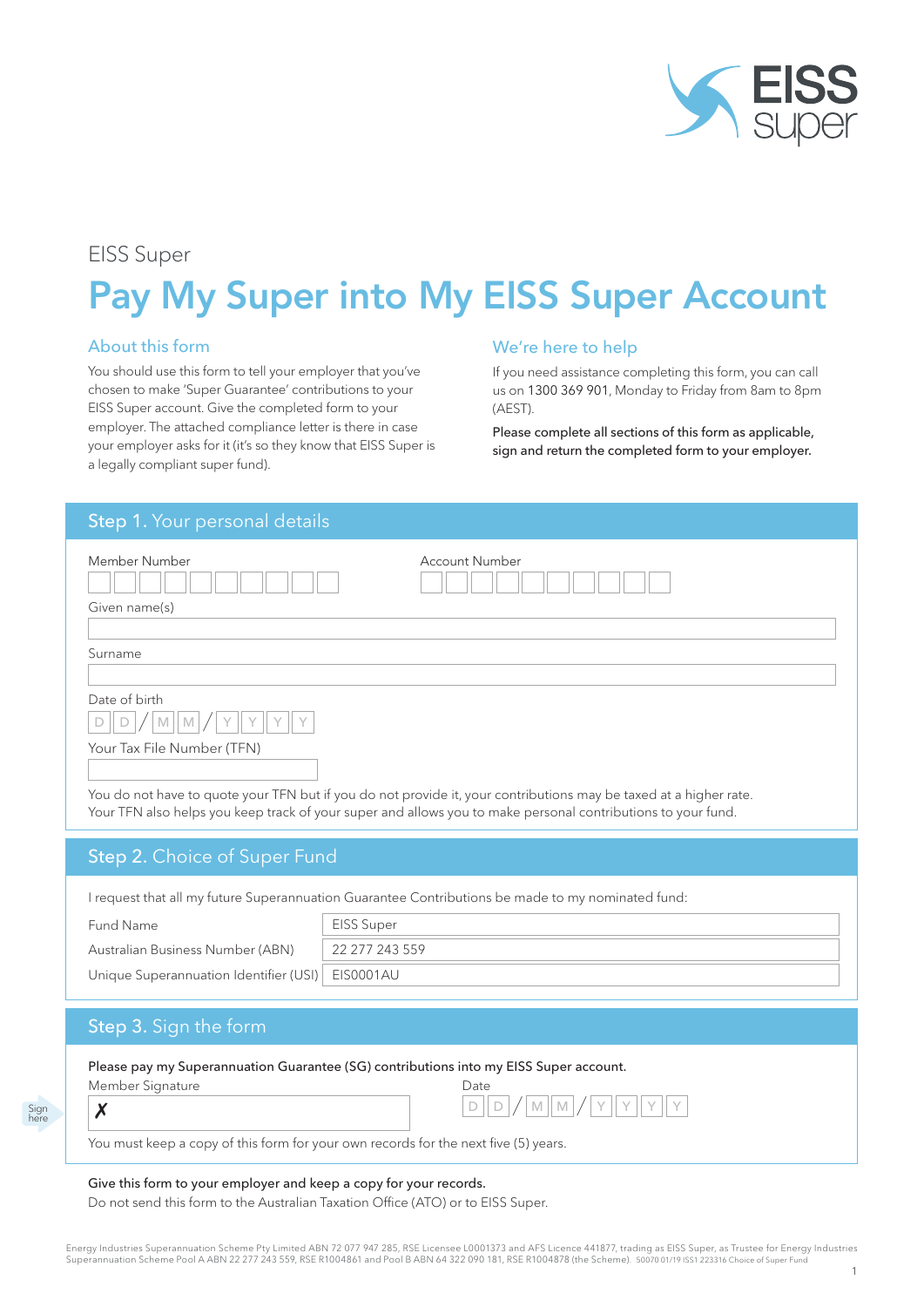

# EISS Super

# Pay My Super into My EISS Super Account

#### About this form

You should use this form to tell your employer that you've chosen to make 'Super Guarantee' contributions to your EISS Super account. Give the completed form to your employer. The attached compliance letter is there in case your employer asks for it (it's so they know that EISS Super is a legally compliant super fund).

#### We're here to help

If you need assistance completing this form, you can call us on 1300 369 901, Monday to Friday from 8am to 8pm (AEST).

Please complete all sections of this form as applicable, sign and return the completed form to your employer.

# Step 1. Your personal details

| Member Number                                                                                                                                                                                                                     | Account Number |  |  |  |  |
|-----------------------------------------------------------------------------------------------------------------------------------------------------------------------------------------------------------------------------------|----------------|--|--|--|--|
| Given name(s)                                                                                                                                                                                                                     |                |  |  |  |  |
|                                                                                                                                                                                                                                   |                |  |  |  |  |
| Surname                                                                                                                                                                                                                           |                |  |  |  |  |
|                                                                                                                                                                                                                                   |                |  |  |  |  |
| Date of birth                                                                                                                                                                                                                     |                |  |  |  |  |
|                                                                                                                                                                                                                                   |                |  |  |  |  |
| Your Tax File Number (TFN)                                                                                                                                                                                                        |                |  |  |  |  |
|                                                                                                                                                                                                                                   |                |  |  |  |  |
| You do not have to quote your TFN but if you do not provide it, your contributions may be taxed at a higher rate.<br>Your TFN also helps you keep track of your super and allows you to make personal contributions to your fund. |                |  |  |  |  |
| <b>Step 2. Choice of Super Fund</b>                                                                                                                                                                                               |                |  |  |  |  |

I request that all my future Superannuation Guarantee Contributions be made to my nominated fund:

Fund Name Australian Business Number (ABN)

Unique Superannuation Identifier (USI)

| EISS Super     |
|----------------|
| 22 277 243 559 |
| EIS0001AU      |

# Step 3. Sign the form

Sign here

| Please pay my Superannuation Guarantee (SG) contributions into my EISS Super account. |                       |  |  |  |  |
|---------------------------------------------------------------------------------------|-----------------------|--|--|--|--|
| Member Signature                                                                      | Date                  |  |  |  |  |
|                                                                                       | $D D D / M M / Y Y Y$ |  |  |  |  |

#### Give this form to your employer and keep a copy for your records.

Do not send this form to the Australian Taxation Office (ATO) or to EISS Super.